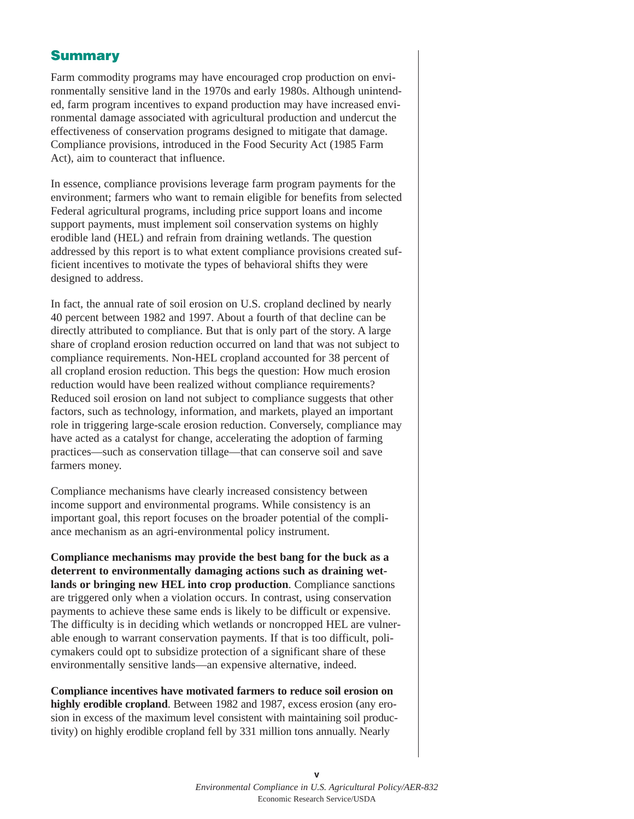## **Summary**

Farm commodity programs may have encouraged crop production on environmentally sensitive land in the 1970s and early 1980s. Although unintended, farm program incentives to expand production may have increased environmental damage associated with agricultural production and undercut the effectiveness of conservation programs designed to mitigate that damage. Compliance provisions, introduced in the Food Security Act (1985 Farm Act), aim to counteract that influence.

In essence, compliance provisions leverage farm program payments for the environment; farmers who want to remain eligible for benefits from selected Federal agricultural programs, including price support loans and income support payments, must implement soil conservation systems on highly erodible land (HEL) and refrain from draining wetlands. The question addressed by this report is to what extent compliance provisions created sufficient incentives to motivate the types of behavioral shifts they were designed to address.

In fact, the annual rate of soil erosion on U.S. cropland declined by nearly 40 percent between 1982 and 1997. About a fourth of that decline can be directly attributed to compliance. But that is only part of the story. A large share of cropland erosion reduction occurred on land that was not subject to compliance requirements. Non-HEL cropland accounted for 38 percent of all cropland erosion reduction. This begs the question: How much erosion reduction would have been realized without compliance requirements? Reduced soil erosion on land not subject to compliance suggests that other factors, such as technology, information, and markets, played an important role in triggering large-scale erosion reduction. Conversely, compliance may have acted as a catalyst for change, accelerating the adoption of farming practices—such as conservation tillage—that can conserve soil and save farmers money.

Compliance mechanisms have clearly increased consistency between income support and environmental programs. While consistency is an important goal, this report focuses on the broader potential of the compliance mechanism as an agri-environmental policy instrument.

**Compliance mechanisms may provide the best bang for the buck as a deterrent to environmentally damaging actions such as draining wetlands or bringing new HEL into crop production**. Compliance sanctions are triggered only when a violation occurs. In contrast, using conservation payments to achieve these same ends is likely to be difficult or expensive. The difficulty is in deciding which wetlands or noncropped HEL are vulnerable enough to warrant conservation payments. If that is too difficult, policymakers could opt to subsidize protection of a significant share of these environmentally sensitive lands—an expensive alternative, indeed.

**Compliance incentives have motivated farmers to reduce soil erosion on highly erodible cropland**. Between 1982 and 1987, excess erosion (any erosion in excess of the maximum level consistent with maintaining soil productivity) on highly erodible cropland fell by 331 million tons annually. Nearly